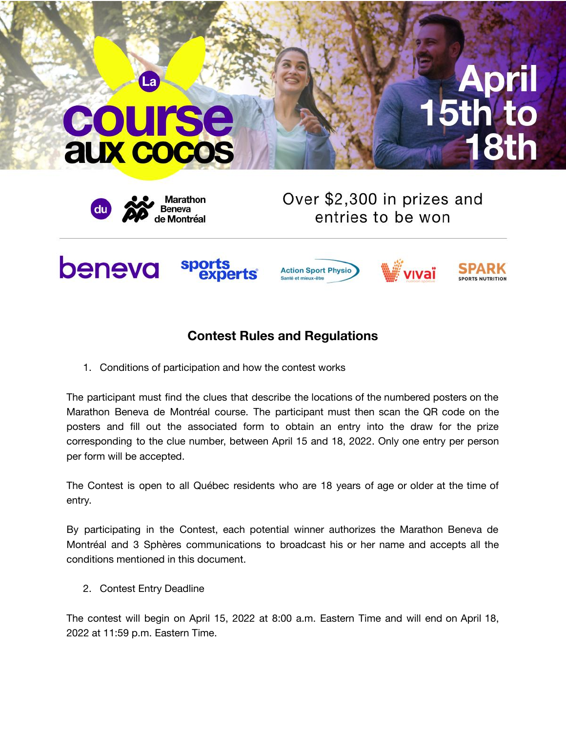## **COUITS aux cocos**

La



Over \$2,300 in prizes and entries to be won



## **Contest Rules and Regulations**

1. Conditions of participation and how the contest works

The participant must find the clues that describe the locations of the numbered posters on the Marathon Beneva de Montréal course. The participant must then scan the QR code on the posters and fill out the associated form to obtain an entry into the draw for the prize corresponding to the clue number, between April 15 and 18, 2022. Only one entry per person per form will be accepted.

The Contest is open to all Québec residents who are 18 years of age or older at the time of entry.

By participating in the Contest, each potential winner authorizes the Marathon Beneva de Montréal and 3 Sphères communications to broadcast his or her name and accepts all the conditions mentioned in this document.

2. Contest Entry Deadline

The contest will begin on April 15, 2022 at 8:00 a.m. Eastern Time and will end on April 18, 2022 at 11:59 p.m. Eastern Time.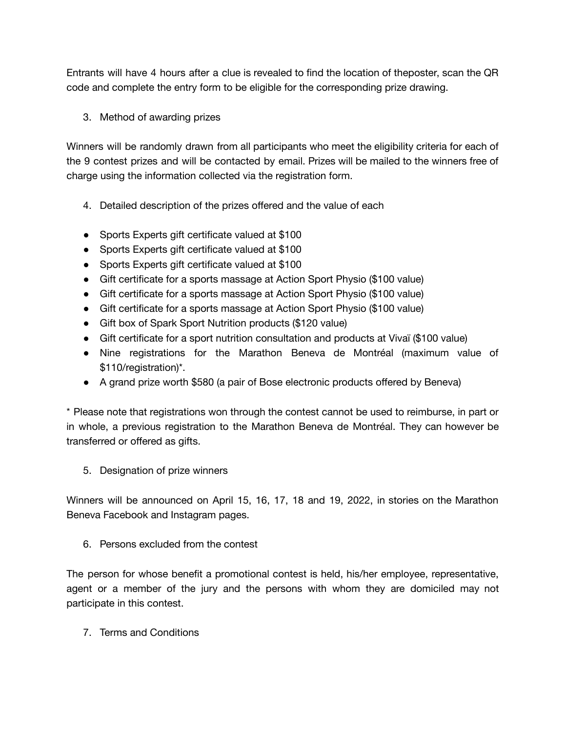Entrants will have 4 hours after a clue is revealed to find the location of theposter, scan the QR code and complete the entry form to be eligible for the corresponding prize drawing.

3. Method of awarding prizes

Winners will be randomly drawn from all participants who meet the eligibility criteria for each of the 9 contest prizes and will be contacted by email. Prizes will be mailed to the winners free of charge using the information collected via the registration form.

- 4. Detailed description of the prizes offered and the value of each
- Sports Experts gift certificate valued at \$100
- Sports Experts gift certificate valued at \$100
- Sports Experts gift certificate valued at \$100
- Gift certificate for a sports massage at Action Sport Physio (\$100 value)
- Gift certificate for a sports massage at Action Sport Physio (\$100 value)
- Gift certificate for a sports massage at Action Sport Physio (\$100 value)
- Gift box of Spark Sport Nutrition products (\$120 value)
- Gift certificate for a sport nutrition consultation and products at Vivaï (\$100 value)
- Nine registrations for the Marathon Beneva de Montréal (maximum value of \$110/registration)\*.
- A grand prize worth \$580 (a pair of Bose electronic products offered by Beneva)

\* Please note that registrations won through the contest cannot be used to reimburse, in part or in whole, a previous registration to the Marathon Beneva de Montréal. They can however be transferred or offered as gifts.

5. Designation of prize winners

Winners will be announced on April 15, 16, 17, 18 and 19, 2022, in stories on the Marathon Beneva Facebook and Instagram pages.

6. Persons excluded from the contest

The person for whose benefit a promotional contest is held, his/her employee, representative, agent or a member of the jury and the persons with whom they are domiciled may not participate in this contest.

7. Terms and Conditions